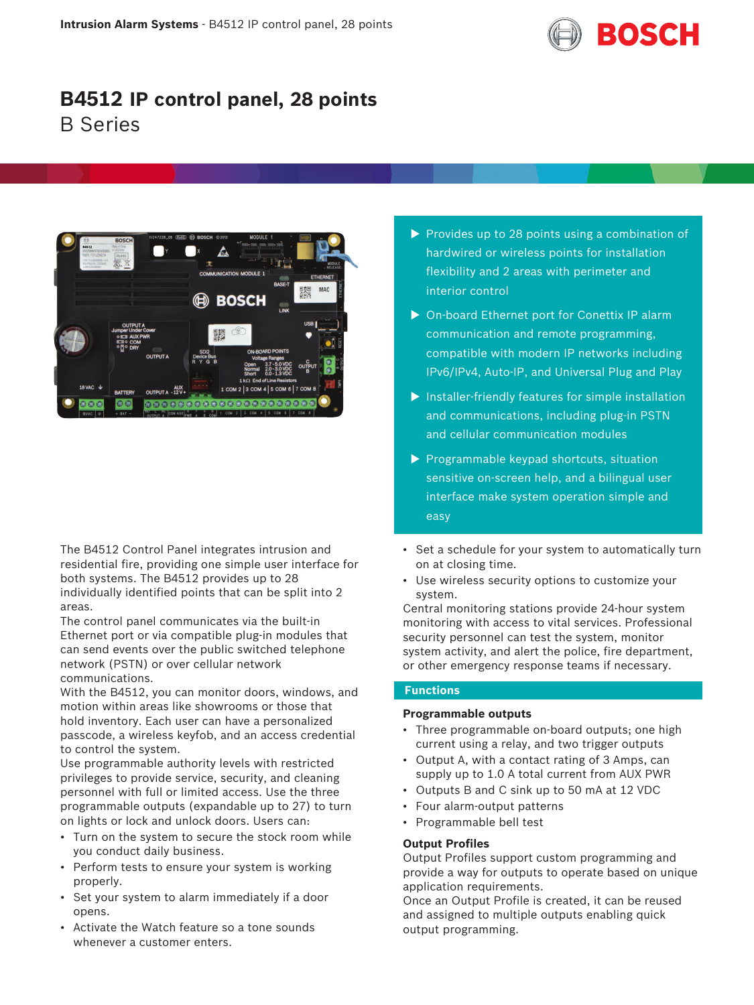

# **B4512 IP control panel, 28 points** B Series



The B4512 Control Panel integrates intrusion and residential fire, providing one simple user interface for both systems. The B4512 provides up to 28 individually identified points that can be split into 2 areas.

The control panel communicates via the built-in Ethernet port or via compatible plug-in modules that can send events over the public switched telephone network (PSTN) or over cellular network communications.

With the B4512, you can monitor doors, windows, and motion within areas like showrooms or those that hold inventory. Each user can have a personalized passcode, a wireless keyfob, and an access credential to control the system.

Use programmable authority levels with restricted privileges to provide service, security, and cleaning personnel with full or limited access. Use the three programmable outputs (expandable up to 27) to turn on lights or lock and unlock doors. Users can:

- Turn on the system to secure the stock room while you conduct daily business.
- Perform tests to ensure your system is working properly.
- Set your system to alarm immediately if a door opens.
- Activate the Watch feature so a tone sounds whenever a customer enters.
- $\triangleright$  Provides up to 28 points using a combination of hardwired or wireless points for installation flexibility and 2 areas with perimeter and interior control
- ▶ On-board Ethernet port for Conettix IP alarm communication and remote programming, compatible with modern IP networks including IPv6/IPv4, Auto-IP, and Universal Plug and Play
- $\blacktriangleright$  Installer-friendly features for simple installation and communications, including plug-in PSTN and cellular communication modules
- $\triangleright$  Programmable keypad shortcuts, situation sensitive on-screen help, and a bilingual user interface make system operation simple and easy
- Set a schedule for your system to automatically turn on at closing time.
- Use wireless security options to customize your system.

Central monitoring stations provide 24-hour system monitoring with access to vital services. Professional security personnel can test the system, monitor system activity, and alert the police, fire department, or other emergency response teams if necessary.

# **Functions**

# **Programmable outputs**

- Three programmable on-board outputs; one high current using a relay, and two trigger outputs
- Output A, with a contact rating of 3 Amps, can supply up to 1.0 A total current from AUX PWR
- Outputs B and C sink up to 50 mA at 12 VDC
- Four alarm-output patterns
- Programmable bell test

# **Output Profiles**

Output Profiles support custom programming and provide a way for outputs to operate based on unique application requirements.

Once an Output Profile is created, it can be reused and assigned to multiple outputs enabling quick output programming.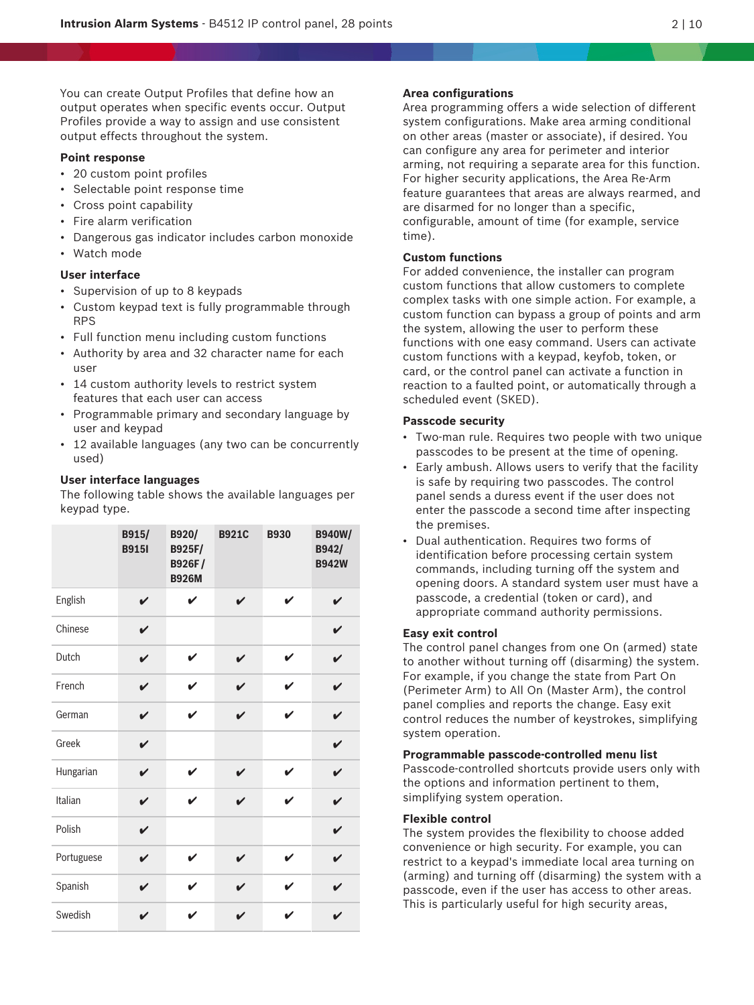You can create Output Profiles that define how an output operates when specific events occur. Output Profiles provide a way to assign and use consistent output effects throughout the system.

#### **Point response**

- 20 custom point profiles
- Selectable point response time
- Cross point capability
- Fire alarm verification
- Dangerous gas indicator includes carbon monoxide
- Watch mode

# **User interface**

- Supervision of up to 8 keypads
- Custom keypad text is fully programmable through RPS
- Full function menu including custom functions
- Authority by area and 32 character name for each user
- 14 custom authority levels to restrict system features that each user can access
- Programmable primary and secondary language by user and keypad
- 12 available languages (any two can be concurrently used)

#### **User interface languages**

The following table shows the available languages per keypad type.

|            | B915/<br><b>B9151</b> | B920/<br><b>B925F/</b><br><b>B926F/</b><br><b>B926M</b> | <b>B921C</b>       | <b>B930</b> | <b>B940W/</b><br>B942/<br><b>B942W</b> |
|------------|-----------------------|---------------------------------------------------------|--------------------|-------------|----------------------------------------|
| English    | V                     | V                                                       | $\boldsymbol{\nu}$ | V           | V                                      |
| Chinese    | V                     |                                                         |                    |             | V                                      |
| Dutch      | V                     | ✔                                                       | V                  | ✔           | V                                      |
| French     | V                     | ✔                                                       | ✔                  | V           | $\mathbf{v}$                           |
| German     | V                     | V                                                       | V                  | V           | V                                      |
| Greek      | V                     |                                                         |                    |             | V                                      |
| Hungarian  | V                     | V                                                       | V                  | V           | V                                      |
| Italian    | V                     | V                                                       | ✔                  | V           | V                                      |
| Polish     | V                     |                                                         |                    |             | V                                      |
| Portuguese | V                     | V                                                       | V                  | V           | V                                      |
| Spanish    | V                     | $\mathbf v$                                             | ✔                  | ✔           | V                                      |
| Swedish    | V                     |                                                         |                    | ✔           | ✓                                      |

#### **Area configurations**

Area programming offers a wide selection of different system configurations. Make area arming conditional on other areas (master or associate), if desired. You can configure any area for perimeter and interior arming, not requiring a separate area for this function. For higher security applications, the Area Re-Arm feature guarantees that areas are always rearmed, and are disarmed for no longer than a specific, configurable, amount of time (for example, service time).

# **Custom functions**

For added convenience, the installer can program custom functions that allow customers to complete complex tasks with one simple action. For example, a custom function can bypass a group of points and arm the system, allowing the user to perform these functions with one easy command. Users can activate custom functions with a keypad, keyfob, token, or card, or the control panel can activate a function in reaction to a faulted point, or automatically through a scheduled event (SKED).

### **Passcode security**

- Two-man rule. Requires two people with two unique passcodes to be present at the time of opening.
- Early ambush. Allows users to verify that the facility is safe by requiring two passcodes. The control panel sends a duress event if the user does not enter the passcode a second time after inspecting the premises.
- Dual authentication. Requires two forms of identification before processing certain system commands, including turning off the system and opening doors. A standard system user must have a passcode, a credential (token or card), and appropriate command authority permissions.

#### **Easy exit control**

The control panel changes from one On (armed) state to another without turning off (disarming) the system. For example, if you change the state from Part On (Perimeter Arm) to All On (Master Arm), the control panel complies and reports the change. Easy exit control reduces the number of keystrokes, simplifying system operation.

**Programmable passcode-controlled menu list**

Passcode-controlled shortcuts provide users only with the options and information pertinent to them, simplifying system operation.

# **Flexible control**

The system provides the flexibility to choose added convenience or high security. For example, you can restrict to a keypad's immediate local area turning on (arming) and turning off (disarming) the system with a passcode, even if the user has access to other areas. This is particularly useful for high security areas,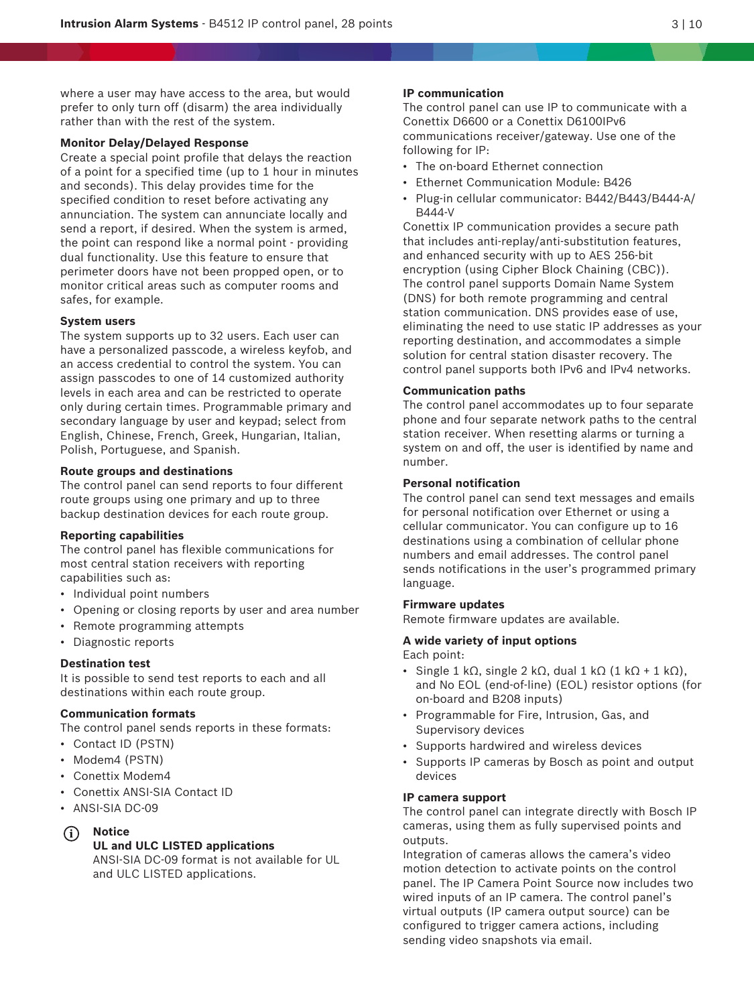where a user may have access to the area, but would prefer to only turn off (disarm) the area individually rather than with the rest of the system.

#### **Monitor Delay/Delayed Response**

Create a special point profile that delays the reaction of a point for a specified time (up to 1 hour in minutes and seconds). This delay provides time for the specified condition to reset before activating any annunciation. The system can annunciate locally and send a report, if desired. When the system is armed, the point can respond like a normal point - providing dual functionality. Use this feature to ensure that perimeter doors have not been propped open, or to monitor critical areas such as computer rooms and safes, for example.

#### **System users**

The system supports up to 32 users. Each user can have a personalized passcode, a wireless keyfob, and an access credential to control the system. You can assign passcodes to one of 14 customized authority levels in each area and can be restricted to operate only during certain times. Programmable primary and secondary language by user and keypad; select from English, Chinese, French, Greek, Hungarian, Italian, Polish, Portuguese, and Spanish.

#### **Route groups and destinations**

The control panel can send reports to four different route groups using one primary and up to three backup destination devices for each route group.

#### **Reporting capabilities**

The control panel has flexible communications for most central station receivers with reporting capabilities such as:

- Individual point numbers
- Opening or closing reports by user and area number
- Remote programming attempts
- Diagnostic reports

# **Destination test**

It is possible to send test reports to each and all destinations within each route group.

# **Communication formats**

The control panel sends reports in these formats:

- Contact ID (PSTN)
- Modem4 (PSTN)
- Conettix Modem4
- Conettix ANSI-SIA Contact ID
- ANSI-SIA DC-09
- **i Notice**

# **UL and ULC LISTED applications**

ANSI-SIA DC-09 format is not available for UL and ULC LISTED applications.

# **IP communication**

The control panel can use IP to communicate with a Conettix D6600 or a Conettix D6100IPv6 communications receiver/gateway. Use one of the following for IP:

- The on-board Ethernet connection
- Ethernet Communication Module: B426
- Plug-in cellular communicator: B442/B443/B444-A/ B444-V

Conettix IP communication provides a secure path that includes anti-replay/anti-substitution features, and enhanced security with up to AES 256-bit encryption (using Cipher Block Chaining (CBC)). The control panel supports Domain Name System (DNS) for both remote programming and central station communication. DNS provides ease of use, eliminating the need to use static IP addresses as your reporting destination, and accommodates a simple solution for central station disaster recovery. The control panel supports both IPv6 and IPv4 networks.

#### **Communication paths**

The control panel accommodates up to four separate phone and four separate network paths to the central station receiver. When resetting alarms or turning a system on and off, the user is identified by name and number.

# **Personal notification**

The control panel can send text messages and emails for personal notification over Ethernet or using a cellular communicator. You can configure up to 16 destinations using a combination of cellular phone numbers and email addresses. The control panel sends notifications in the user's programmed primary language.

# **Firmware updates**

Remote firmware updates are available.

#### **A wide variety of input options**

Each point:

- Single 1 kΩ, single 2 kΩ, dual 1 kΩ (1 kΩ + 1 kΩ), and No EOL (end-of-line) (EOL) resistor options (for on-board and B208 inputs)
- Programmable for Fire, Intrusion, Gas, and Supervisory devices
- Supports hardwired and wireless devices
- Supports IP cameras by Bosch as point and output devices

#### **IP camera support**

The control panel can integrate directly with Bosch IP cameras, using them as fully supervised points and outputs.

Integration of cameras allows the camera's video motion detection to activate points on the control panel. The IP Camera Point Source now includes two wired inputs of an IP camera. The control panel's virtual outputs (IP camera output source) can be configured to trigger camera actions, including sending video snapshots via email.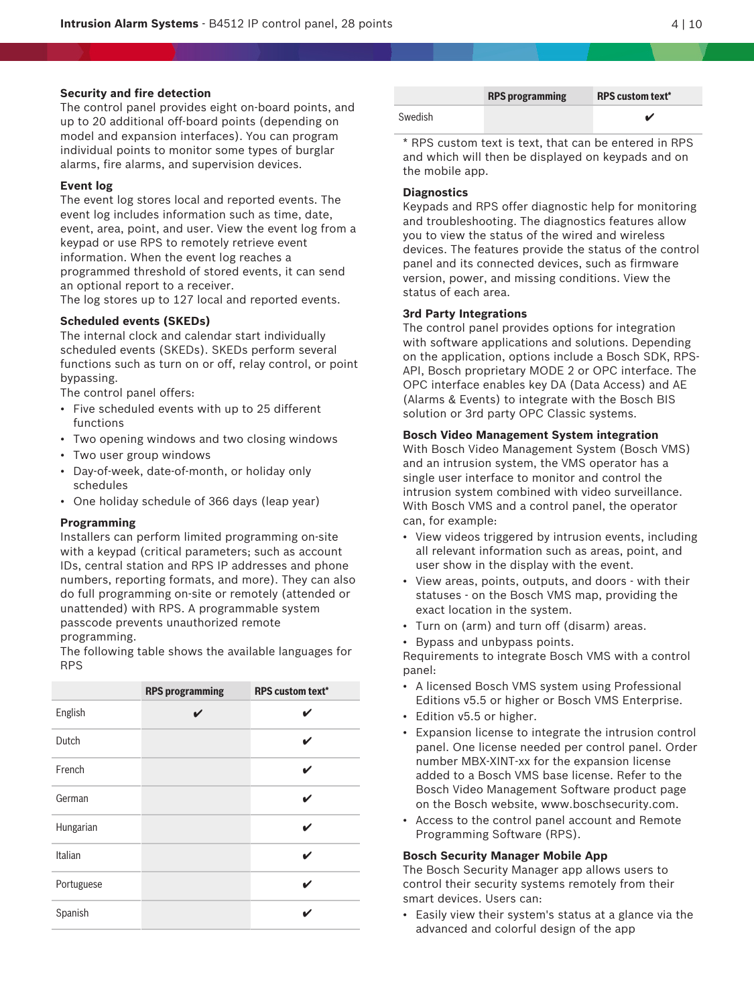#### **Security and fire detection**

The control panel provides eight on-board points, and up to 20 additional off-board points (depending on model and expansion interfaces). You can program individual points to monitor some types of burglar alarms, fire alarms, and supervision devices.

#### **Event log**

The event log stores local and reported events. The event log includes information such as time, date, event, area, point, and user. View the event log from a keypad or use RPS to remotely retrieve event information. When the event log reaches a programmed threshold of stored events, it can send an optional report to a receiver.

The log stores up to 127 local and reported events.

#### **Scheduled events (SKEDs)**

The internal clock and calendar start individually scheduled events (SKEDs). SKEDs perform several functions such as turn on or off, relay control, or point bypassing.

The control panel offers:

- Five scheduled events with up to 25 different functions
- Two opening windows and two closing windows
- Two user group windows
- Day-of-week, date-of-month, or holiday only schedules
- One holiday schedule of 366 days (leap year)

#### **Programming**

Installers can perform limited programming on-site with a keypad (critical parameters; such as account IDs, central station and RPS IP addresses and phone numbers, reporting formats, and more). They can also do full programming on-site or remotely (attended or unattended) with RPS. A programmable system passcode prevents unauthorized remote programming.

The following table shows the available languages for RPS

|            | <b>RPS programming</b> | <b>RPS custom text*</b> |
|------------|------------------------|-------------------------|
| English    |                        | V                       |
| Dutch      |                        | V                       |
| French     |                        | ✔                       |
| German     |                        | ✔                       |
| Hungarian  |                        | ✔                       |
| Italian    |                        | ✔                       |
| Portuguese |                        | ✔                       |
| Spanish    |                        | ✔                       |

|         | <b>RPS</b> programming | <b>RPS custom text*</b> |
|---------|------------------------|-------------------------|
| Swedish |                        |                         |

\* RPS custom text is text, that can be entered in RPS and which will then be displayed on keypads and on the mobile app.

#### **Diagnostics**

Keypads and RPS offer diagnostic help for monitoring and troubleshooting. The diagnostics features allow you to view the status of the wired and wireless devices. The features provide the status of the control panel and its connected devices, such as firmware version, power, and missing conditions. View the status of each area.

#### **3rd Party Integrations**

The control panel provides options for integration with software applications and solutions. Depending on the application, options include a Bosch SDK, RPS-API, Bosch proprietary MODE 2 or OPC interface. The OPC interface enables key DA (Data Access) and AE (Alarms & Events) to integrate with the Bosch BIS solution or 3rd party OPC Classic systems.

#### **Bosch Video Management System integration**

With Bosch Video Management System (Bosch VMS) and an intrusion system, the VMS operator has a single user interface to monitor and control the intrusion system combined with video surveillance. With Bosch VMS and a control panel, the operator can, for example:

- View videos triggered by intrusion events, including all relevant information such as areas, point, and user show in the display with the event.
- View areas, points, outputs, and doors with their statuses - on the Bosch VMS map, providing the exact location in the system.
- Turn on (arm) and turn off (disarm) areas.
- Bypass and unbypass points.

Requirements to integrate Bosch VMS with a control panel:

- A licensed Bosch VMS system using Professional Editions v5.5 or higher or Bosch VMS Enterprise.
- Edition v5.5 or higher.
- Expansion license to integrate the intrusion control panel. One license needed per control panel. Order number MBX-XINT-xx for the expansion license added to a Bosch VMS base license. Refer to the Bosch Video Management Software product page on the Bosch website, www.boschsecurity.com.
- Access to the control panel account and Remote Programming Software (RPS).

#### **Bosch Security Manager Mobile App**

The Bosch Security Manager app allows users to control their security systems remotely from their smart devices. Users can:

• Easily view their system's status at a glance via the advanced and colorful design of the app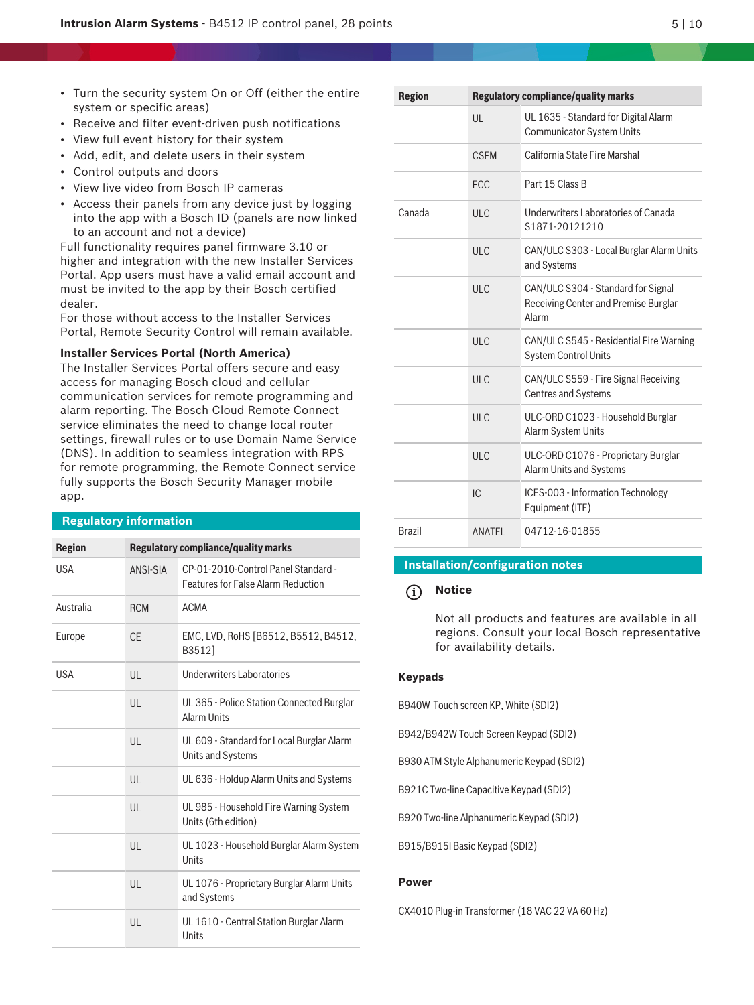- Turn the security system On or Off (either the entire system or specific areas)
- Receive and filter event-driven push notifications
- View full event history for their system
- Add, edit, and delete users in their system
- Control outputs and doors
- View live video from Bosch IP cameras
- Access their panels from any device just by logging into the app with a Bosch ID (panels are now linked to an account and not a device)

Full functionality requires panel firmware 3.10 or higher and integration with the new Installer Services Portal. App users must have a valid email account and must be invited to the app by their Bosch certified dealer.

For those without access to the Installer Services Portal, Remote Security Control will remain available.

#### **Installer Services Portal (North America)**

The Installer Services Portal offers secure and easy access for managing Bosch cloud and cellular communication services for remote programming and alarm reporting. The Bosch Cloud Remote Connect service eliminates the need to change local router settings, firewall rules or to use Domain Name Service (DNS). In addition to seamless integration with RPS for remote programming, the Remote Connect service fully supports the Bosch Security Manager mobile app.

#### **Regulatory information**

| <b>Region</b> |              | <b>Regulatory compliance/quality marks</b>                                       |
|---------------|--------------|----------------------------------------------------------------------------------|
| <b>USA</b>    | ANSI-SIA     | CP-01-2010-Control Panel Standard -<br><b>Features for False Alarm Reduction</b> |
| Australia     | <b>RCM</b>   | <b>ACMA</b>                                                                      |
| Europe        | CF           | EMC, LVD, RoHS [B6512, B5512, B4512,<br>B3512]                                   |
| USA           | UL           | <b>Underwriters Laboratories</b>                                                 |
|               | UL           | UL 365 - Police Station Connected Burglar<br>Alarm Units                         |
|               | UL           | UL 609 - Standard for Local Burglar Alarm<br><b>Units and Systems</b>            |
|               | UL           | UL 636 - Holdup Alarm Units and Systems                                          |
|               | UL           | UL 985 - Household Fire Warning System<br>Units (6th edition)                    |
|               | $\mathsf{U}$ | UL 1023 - Household Burglar Alarm System<br>Units                                |
|               | UL           | UL 1076 - Proprietary Burglar Alarm Units<br>and Systems                         |
|               | UL           | UL 1610 - Central Station Burglar Alarm<br>Units                                 |

| <b>Region</b> | <b>Regulatory compliance/quality marks</b> |                                                                                     |  |  |
|---------------|--------------------------------------------|-------------------------------------------------------------------------------------|--|--|
|               | UL                                         | UL 1635 - Standard for Digital Alarm<br><b>Communicator System Units</b>            |  |  |
|               | <b>CSFM</b>                                | California State Fire Marshal                                                       |  |  |
|               | <b>FCC</b>                                 | Part 15 Class B                                                                     |  |  |
| Canada        | <b>ULC</b>                                 | Underwriters Laboratories of Canada<br>S1871-20121210                               |  |  |
|               | ULC                                        | CAN/ULC S303 - Local Burglar Alarm Units<br>and Systems                             |  |  |
|               | ULC                                        | CAN/ULC S304 - Standard for Signal<br>Receiving Center and Premise Burglar<br>Alarm |  |  |
|               | ULC                                        | CAN/ULC S545 - Residential Fire Warning<br><b>System Control Units</b>              |  |  |
|               | ULC                                        | CAN/ULC S559 - Fire Signal Receiving<br><b>Centres and Systems</b>                  |  |  |
|               | ULC                                        | ULC-ORD C1023 - Household Burglar<br>Alarm System Units                             |  |  |
|               | ULC                                        | ULC-ORD C1076 - Proprietary Burglar<br>Alarm Units and Systems                      |  |  |
|               | IC.                                        | ICES-003 - Information Technology<br>Equipment (ITE)                                |  |  |
| <b>Brazil</b> | <b>ANATFI</b>                              | 04712-16-01855                                                                      |  |  |

#### **Installation/configuration notes**

#### **i Notice**

Not all products and features are available in all regions. Consult your local Bosch representative for availability details.

#### **Keypads**

B940W Touch screen KP, White (SDI2)

B942/B942W Touch Screen Keypad (SDI2)

B930 ATM Style Alphanumeric Keypad (SDI2)

B921C Two-line Capacitive Keypad (SDI2)

B920 Two-line Alphanumeric Keypad (SDI2)

B915/B915I Basic Keypad (SDI2)

#### **Power**

CX4010 Plug-in Transformer (18 VAC 22 VA 60 Hz)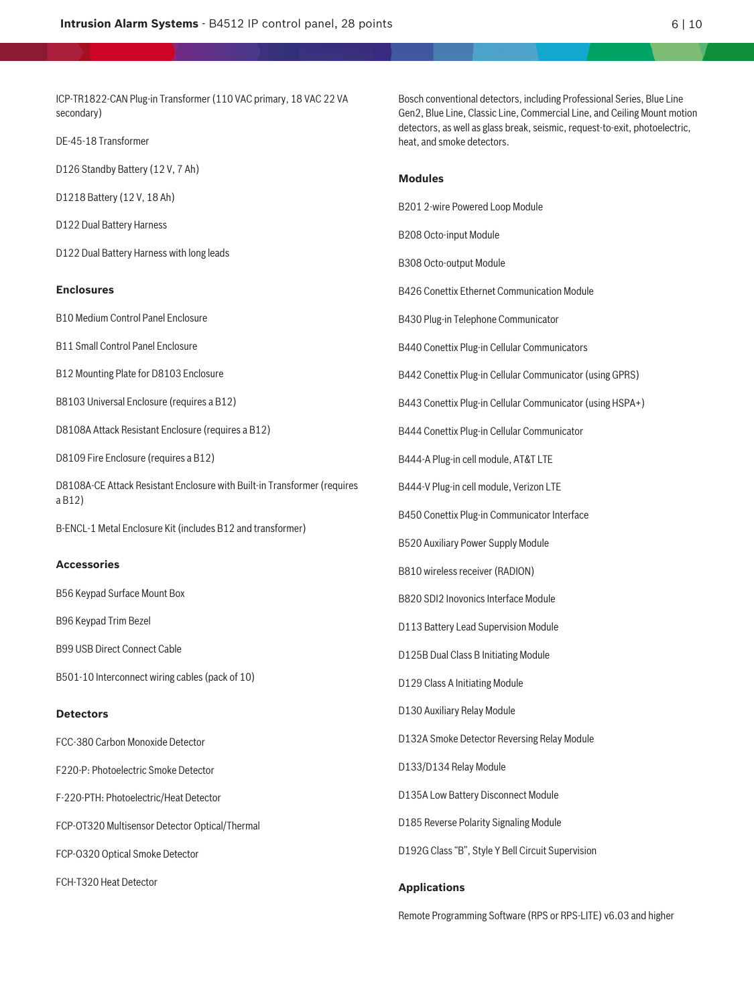ICP‑TR1822‑CAN Plug‑in Transformer (110 VAC primary, 18 VAC 22 VA secondary)

DE-45-18 Transformer

D126 Standby Battery (12 V, 7 Ah)

D1218 Battery (12 V, 18 Ah)

D122 Dual Battery Harness

D122 Dual Battery Harness with long leads

#### **Enclosures**

B10 Medium Control Panel Enclosure

B11 Small Control Panel Enclosure

B12 Mounting Plate for D8103 Enclosure

B8103 Universal Enclosure (requires a B12)

D8108A Attack Resistant Enclosure (requires a B12)

D8109 Fire Enclosure (requires a B12)

D8108A-CE Attack Resistant Enclosure with Built-in Transformer (requires a B12)

B-ENCL-1 Metal Enclosure Kit (includes B12 and transformer)

#### **Accessories**

B56 Keypad Surface Mount Box

B96 Keypad Trim Bezel

B99 USB Direct Connect Cable

B501-10 Interconnect wiring cables (pack of 10)

#### **Detectors**

FCC-380 Carbon Monoxide Detector

F220-P: Photoelectric Smoke Detector

F-220-PTH: Photoelectric/Heat Detector

FCP-OT320 Multisensor Detector Optical/Thermal

FCP-O320 Optical Smoke Detector

FCH-T320 Heat Detector

Bosch conventional detectors, including Professional Series, Blue Line Gen2, Blue Line, Classic Line, Commercial Line, and Ceiling Mount motion detectors, as well as glass break, seismic, request-to-exit, photoelectric, heat, and smoke detectors.

# **Modules**

B201 2-wire Powered Loop Module

B208 Octo-input Module

B308 Octo-output Module

B426 Conettix Ethernet Communication Module

B430 Plug-in Telephone Communicator

B440 Conettix Plug-in Cellular Communicators

B442 Conettix Plug-in Cellular Communicator (using GPRS)

B443 Conettix Plug-in Cellular Communicator (using HSPA+)

B444 Conettix Plug-in Cellular Communicator

B444-A Plug-in cell module, AT&T LTE

B444-V Plug-in cell module, Verizon LTE

B450 Conettix Plug-in Communicator Interface

B520 Auxiliary Power Supply Module

B810 wireless receiver (RADION)

B820 SDI2 Inovonics Interface Module

D113 Battery Lead Supervision Module

D125B Dual Class B Initiating Module

D129 Class A Initiating Module

D130 Auxiliary Relay Module

D132A Smoke Detector Reversing Relay Module

D133/D134 Relay Module

D135A Low Battery Disconnect Module

D185 Reverse Polarity Signaling Module

D192G Class "B", Style Y Bell Circuit Supervision

#### **Applications**

Remote Programming Software (RPS or RPS-LITE) v6.03 and higher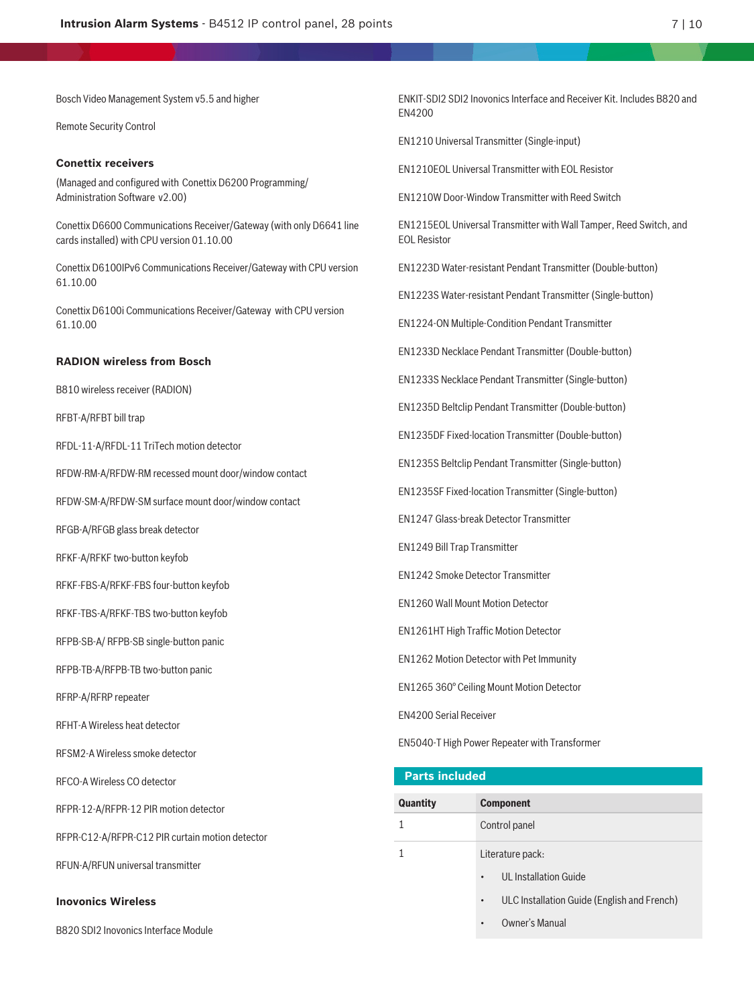Bosch Video Management System v5.5 and higher

Remote Security Control

#### **Conettix receivers**

(Managed and configured with Conettix D6200 Programming/ Administration Software v2.00)

Conettix D6600 Communications Receiver/Gateway (with only D6641 line cards installed) with CPU version 01.10.00

Conettix D6100IPv6 Communications Receiver/Gateway with CPU version 61.10.00

Conettix D6100i Communications Receiver/Gateway with CPU version 61.10.00

#### **RADION wireless from Bosch**

B810 wireless receiver (RADION)

RFBT-A/RFBT bill trap

RFDL-11-A/RFDL-11 TriTech motion detector

RFDW-RM-A/RFDW-RM recessed mount door/window contact

RFDW-SM-A/RFDW-SM surface mount door/window contact

RFGB-A/RFGB glass break detector

RFKF-A/RFKF two-button keyfob

RFKF-FBS-A/RFKF-FBS four-button keyfob

RFKF-TBS-A/RFKF-TBS two-button keyfob

RFPB-SB-A/ RFPB-SB single-button panic

RFPB-TB-A/RFPB-TB two-button panic

RFRP-A/RFRP repeater

RFHT-A Wireless heat detector

RFSM2-A Wireless smoke detector

RFCO-A Wireless CO detector

RFPR-12-A/RFPR-12 PIR motion detector

RFPR-C12-A/RFPR-C12 PIR curtain motion detector

RFUN-A/RFUN universal transmitter

**Inovonics Wireless**

B820 SDI2 Inovonics Interface Module

ENKIT-SDI2 SDI2 Inovonics Interface and Receiver Kit. Includes B820 and EN4200

EN1210 Universal Transmitter (Single-input)

EN1210EOL Universal Transmitter with EOL Resistor

EN1210W Door-Window Transmitter with Reed Switch

EN1215EOL Universal Transmitter with Wall Tamper, Reed Switch, and EOL Resistor

EN1223D Water‑resistant Pendant Transmitter (Double‑button)

EN1223S Water‑resistant Pendant Transmitter (Single‑button)

EN1224-ON Multiple-Condition Pendant Transmitter

EN1233D Necklace Pendant Transmitter (Double-button)

EN1233S Necklace Pendant Transmitter (Single-button)

EN1235D Beltclip Pendant Transmitter (Double-button)

EN1235DF Fixed-location Transmitter (Double-button)

EN1235S Beltclip Pendant Transmitter (Single-button)

EN1235SF Fixed-location Transmitter (Single-button)

EN1247 Glass-break Detector Transmitter

EN1249 Bill Trap Transmitter

EN1242 Smoke Detector Transmitter

EN1260 Wall Mount Motion Detector

EN1261HT High Traffic Motion Detector

EN1262 Motion Detector with Pet Immunity

EN1265 360° Ceiling Mount Motion Detector

EN4200 Serial Receiver

EN5040-T High Power Repeater with Transformer

#### **Parts included**

| Quantity | <b>Component</b>                                         |
|----------|----------------------------------------------------------|
|          | Control panel                                            |
|          | Literature pack:                                         |
|          | UL Installation Guide<br>$\bullet$                       |
|          | ULC Installation Guide (English and French)<br>$\bullet$ |
|          | Owner's Manual                                           |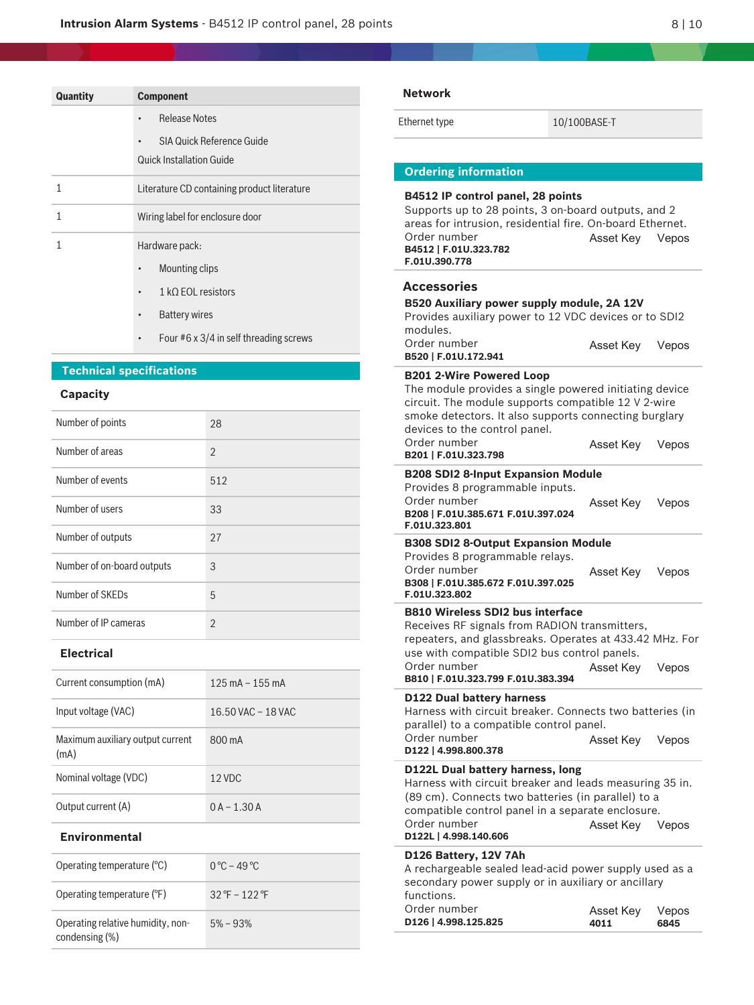| Quantity                                                                          | <b>Component</b>                       |                                             | <b>Network</b>                                       |
|-----------------------------------------------------------------------------------|----------------------------------------|---------------------------------------------|------------------------------------------------------|
|                                                                                   | <b>Release Notes</b>                   |                                             | Ethernet type                                        |
|                                                                                   |                                        | SIA Quick Reference Guide                   |                                                      |
|                                                                                   | <b>Quick Installation Guide</b>        |                                             | <b>Ordering infor</b>                                |
| $\mathbf{1}$                                                                      |                                        | Literature CD containing product literature | B4512 IP conti                                       |
| $\mathbf{1}$                                                                      |                                        | Wiring label for enclosure door             | Supports up to<br>areas for intrus                   |
| $\mathbf{1}$                                                                      | Hardware pack:                         |                                             | Order number<br>B4512   F.01U.32                     |
|                                                                                   | Mounting clips<br>٠                    |                                             | F.01U.390.778                                        |
|                                                                                   | $1 k\Omega$ EOL resistors<br>$\bullet$ |                                             | <b>Accessories</b><br><b>B520 Auxiliary</b>          |
|                                                                                   | <b>Battery wires</b><br>$\bullet$      |                                             | Provides auxilia                                     |
|                                                                                   | $\bullet$                              | Four #6 x 3/4 in self threading screws      | modules.<br>Order number                             |
|                                                                                   | <b>Technical specifications</b>        |                                             | B520   F.01U.172<br><b>B201 2-Wire P</b>             |
| <b>Capacity</b>                                                                   |                                        |                                             | The module pro<br>circuit. The mo                    |
| Number of points                                                                  |                                        | 28                                          | smoke detecto<br>devices to the                      |
| Number of areas                                                                   |                                        | $\overline{2}$                              | Order number<br>B201   F.01U.323                     |
| Number of events                                                                  |                                        | 512                                         | <b>B208 SDI2 8-In</b><br>Provides 8 pro              |
| Number of users                                                                   |                                        | 33                                          | Order number<br>B208   F.01U.385                     |
| Number of outputs<br>Number of on-board outputs                                   |                                        | 27                                          | F.01U.323.801<br><b>B308 SDI2 8-0</b>                |
|                                                                                   |                                        | 3                                           | Provides 8 prog<br>Order number<br>B308   F.01U.385  |
| Number of SKEDs                                                                   |                                        | 5                                           | F.01U.323.802<br><b>B810 Wireless</b>                |
| Number of IP cameras                                                              |                                        | $\overline{2}$                              | Receives RF sig                                      |
| <b>Electrical</b>                                                                 |                                        |                                             | repeaters, and<br>use with comp<br>Order number      |
| Current consumption (mA)                                                          |                                        | $125 \text{ mA} - 155 \text{ mA}$           | B810   F.01U.323                                     |
| Input voltage (VAC)                                                               |                                        | 16.50 VAC - 18 VAC                          | D122 Dual bat<br>Harness with c<br>parallel) to a co |
| Maximum auxiliary output current<br>(mA)                                          |                                        | 800 mA                                      | Order number<br>D122   4.998.800                     |
| Nominal voltage (VDC)                                                             |                                        | 12 VDC                                      | D122L Dual ba<br>Harness with c                      |
| Output current (A)                                                                |                                        | $0A - 1.30A$                                | $(89 \text{ cm})$ . Conne<br>compatible cor          |
| <b>Environmental</b>                                                              |                                        |                                             | Order number<br>D122L   4.998.14                     |
| Operating temperature (°C)                                                        |                                        | $0^{\circ}$ C – 49 $^{\circ}$ C             | D126 Battery,<br>A rechargeable                      |
| Operating temperature (°F)<br>Operating relative humidity, non-<br>condensing (%) |                                        | 32 °F - 122 °F                              | secondary pow<br>functions.<br>Order number          |
|                                                                                   |                                        | $5% - 93%$                                  | D126   4.998.125                                     |

10/100BASE-T

# **rmation**

| <b>B4512 IP control panel, 28 points</b><br>Supports up to 28 points, 3 on-board outputs, and 2<br>areas for intrusion, residential fire. On-board Ethernet.<br>Order number<br>B4512   F.01U.323.782<br>F.01U.390.778                                     | Asset Key Vepos   |               |
|------------------------------------------------------------------------------------------------------------------------------------------------------------------------------------------------------------------------------------------------------------|-------------------|---------------|
| Accessories<br>B520 Auxiliary power supply module, 2A 12V<br>Provides auxiliary power to 12 VDC devices or to SDI2                                                                                                                                         |                   |               |
| modules.<br>Order number<br>B520   F.01U.172.941                                                                                                                                                                                                           | Asset Key         | Vepos         |
| <b>B201 2-Wire Powered Loop</b><br>The module provides a single powered initiating device<br>circuit. The module supports compatible 12 V 2-wire<br>smoke detectors. It also supports connecting burglary<br>devices to the control panel.<br>Order number | Asset Key         | Vepos         |
| B201   F.01U.323.798<br><b>B208 SDI2 8-Input Expansion Module</b>                                                                                                                                                                                          |                   |               |
| Provides 8 programmable inputs.<br>Order number<br>B208   F.01U.385.671 F.01U.397.024<br>F.01U.323.801                                                                                                                                                     | Asset Key Vepos   |               |
| <b>B308 SDI2 8-Output Expansion Module</b><br>Provides 8 programmable relays.<br>Order number<br>B308   F.01U.385.672 F.01U.397.025<br>F.01U.323.802                                                                                                       | Asset Key Vepos   |               |
| <b>B810 Wireless SDI2 bus interface</b><br>Receives RF signals from RADION transmitters,<br>repeaters, and glassbreaks. Operates at 433.42 MHz. For<br>use with compatible SDI2 bus control panels.<br>Order number<br>B810   F.01U.323.799 F.01U.383.394  | Asset Key Vepos   |               |
| <b>D122 Dual battery harness</b><br>Harness with circuit breaker. Connects two batteries (in<br>parallel) to a compatible control panel.<br>Order number<br>D122   4.998.800.378                                                                           | Asset Key         | Vepos         |
| D122L Dual battery harness, long<br>Harness with circuit breaker and leads measuring 35 in.<br>(89 cm). Connects two batteries (in parallel) to a<br>compatible control panel in a separate enclosure.<br>Order number<br>D122L   4.998.140.606            | Asset Key Vepos   |               |
| D126 Battery, 12V 7Ah<br>A rechargeable sealed lead-acid power supply used as a<br>secondary power supply or in auxiliary or ancillary<br>functions.                                                                                                       |                   |               |
| Order number<br>D126   4.998.125.825                                                                                                                                                                                                                       | Asset Key<br>4011 | Vepos<br>6845 |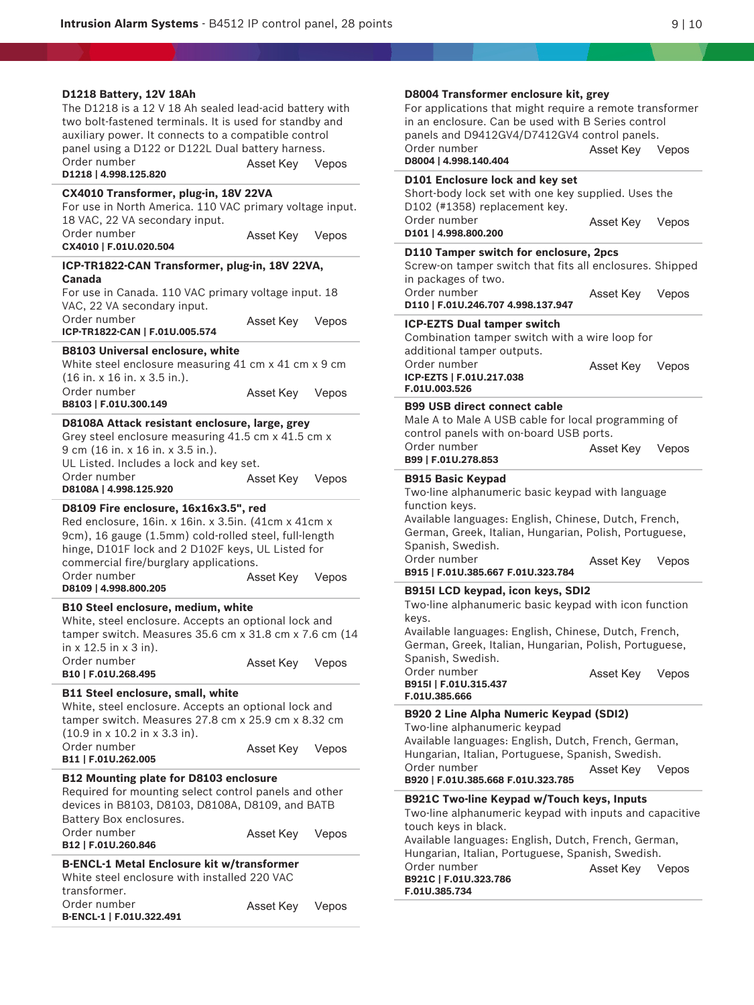Y.

| D1218 Battery, 12V 18Ah<br>The D1218 is a 12 V 18 Ah sealed lead-acid battery with<br>two bolt-fastened terminals. It is used for standby and<br>auxiliary power. It connects to a compatible control<br>panel using a D122 or D122L Dual battery harness.<br>Order number<br>D1218   4.998.125.820 | Asset Key              | Vepos          | <b>D80041</b><br>For appl<br>in an en<br>panels a<br>Order ni<br>D8004   4<br><b>D101 Er</b>                     |
|-----------------------------------------------------------------------------------------------------------------------------------------------------------------------------------------------------------------------------------------------------------------------------------------------------|------------------------|----------------|------------------------------------------------------------------------------------------------------------------|
| CX4010 Transformer, plug-in, 18V 22VA<br>For use in North America. 110 VAC primary voltage input.<br>18 VAC, 22 VA secondary input.<br>Order number                                                                                                                                                 | Asset Key              | Vepos          | Short-bo<br>D <sub>102</sub> (#<br>Order ni<br>D101   4.                                                         |
| CX4010   F.01U.020.504<br>ICP-TR1822-CAN Transformer, plug-in, 18V 22VA,<br>Canada<br>For use in Canada. 110 VAC primary voltage input. 18<br>VAC, 22 VA secondary input.                                                                                                                           |                        |                | <b>D110 Ta</b><br>Screw-o<br>in packa<br>Order ni<br>D110   F.                                                   |
| Order number<br>ICP-TR1822-CAN   F.01U.005.574<br><b>B8103 Universal enclosure, white</b><br>White steel enclosure measuring 41 cm x 41 cm x 9 cm<br>$(16$ in. x 16 in. x 3.5 in.).<br>Order number                                                                                                 | Asset Key<br>Asset Key | Vepos<br>Vepos | <b>ICP-EZT</b><br>Combina<br>addition<br>Order ni<br><b>ICP-EZTS</b><br>F.01U.00                                 |
| B8103   F.01U.300.149<br>D8108A Attack resistant enclosure, large, grey<br>Grey steel enclosure measuring 41.5 cm x 41.5 cm x<br>9 cm (16 in. x 16 in. x 3.5 in.).<br>UL Listed. Includes a lock and key set.<br>Order number                                                                       | Asset Key              | Vepos          | <b>B99 USI</b><br>Male A t<br>control<br>Order ni<br>B99   F.0<br><b>B915 Ba</b>                                 |
| D8108A   4.998.125.920<br>D8109 Fire enclosure, 16x16x3.5", red<br>Red enclosure, 16in. x 16in. x 3.5in. (41cm x 41cm x<br>9cm), 16 gauge (1.5mm) cold-rolled steel, full-length<br>hinge, D101F lock and 2 D102F keys, UL Listed for<br>commercial fire/burglary applications.<br>Order number     | Asset Key              | Vepos          | Two-line<br>function<br>Available<br>German<br>Spanish<br>Order ni<br>B915   F.                                  |
| D8109   4.998.800.205<br>B10 Steel enclosure, medium, white<br>White, steel enclosure. Accepts an optional lock and<br>tamper switch. Measures 35.6 cm x 31.8 cm x 7.6 cm (14<br>in $x$ 12.5 in $x$ 3 in).<br>Order number<br>B10   F.01U.268.495<br><b>B11 Steel enclosure, small, white</b>       | Asset Key Vepos        |                | <b>B915IL</b><br>Two-line<br>keys.<br>Available<br>German<br>Spanish<br>Order ni<br><b>B915I   F</b><br>F.01U.38 |
| White, steel enclosure. Accepts an optional lock and<br>tamper switch. Measures 27.8 cm x 25.9 cm x 8.32 cm<br>$(10.9 \text{ in } x 10.2 \text{ in } x 3.3 \text{ in}).$<br>Order number<br>B11   F.01U.262.005                                                                                     | Asset Key              | Vepos          | B920 2  <br>Two-line<br>Available<br>Hungaria<br>Order ni                                                        |
| <b>B12 Mounting plate for D8103 enclosure</b><br>Required for mounting select control panels and other<br>devices in B8103, D8103, D8108A, D8109, and BATB<br>Battery Box enclosures.<br>Order number<br>B12   F.01U.260.846                                                                        | Asset Key              | Vepos          | B920   F.<br><b>B921C1</b><br>Two-line<br>touch ke<br>Available                                                  |
| <b>B-ENCL-1 Metal Enclosure kit w/transformer</b><br>White steel enclosure with installed 220 VAC<br>transformer.<br>Order number<br>B-ENCL-1   F.01U.322.491                                                                                                                                       | Asset Key              | Vepos          | Hungaria<br>Order ni<br>B921C   I<br>F.01U.38                                                                    |

| D8004 Transformer enclosure kit, grey<br>For applications that might require a remote transformer<br>in an enclosure. Can be used with B Series control<br>panels and D9412GV4/D7412GV4 control panels.<br>Order number<br>D8004   4.998.140.404                                                     | Asset Key Vepos |       |
|------------------------------------------------------------------------------------------------------------------------------------------------------------------------------------------------------------------------------------------------------------------------------------------------------|-----------------|-------|
| D101 Enclosure lock and key set<br>Short-body lock set with one key supplied. Uses the<br>D102 (#1358) replacement key.                                                                                                                                                                              |                 |       |
| Order number<br>D101   4.998.800.200                                                                                                                                                                                                                                                                 | Asset Key Vepos |       |
| D110 Tamper switch for enclosure, 2pcs<br>Screw-on tamper switch that fits all enclosures. Shipped<br>in packages of two.<br>Order number                                                                                                                                                            |                 |       |
| D110   F.01U.246.707 4.998.137.947                                                                                                                                                                                                                                                                   | Asset Key       | Vepos |
| <b>ICP-EZTS Dual tamper switch</b><br>Combination tamper switch with a wire loop for<br>additional tamper outputs.                                                                                                                                                                                   |                 |       |
| Order number<br>ICP-EZTS   F.01U.217.038<br>F.01U.003.526                                                                                                                                                                                                                                            | Asset Key Vepos |       |
| <b>B99 USB direct connect cable</b><br>Male A to Male A USB cable for local programming of<br>control panels with on-board USB ports.                                                                                                                                                                |                 |       |
| Order number<br>B99   F.01U.278.853                                                                                                                                                                                                                                                                  | Asset Key Vepos |       |
| <b>B915 Basic Keypad</b><br>Two-line alphanumeric basic keypad with language<br>function keys.<br>Available languages: English, Chinese, Dutch, French,<br>German, Greek, Italian, Hungarian, Polish, Portuguese,<br>Spanish, Swedish.<br>Order number<br>B915   F.01U.385.667 F.01U.323.784         | Asset Key       | Vepos |
| <b>B915I LCD keypad, icon keys, SDI2</b><br>Two-line alphanumeric basic keypad with icon function<br>keys.                                                                                                                                                                                           |                 |       |
| Available languages: English, Chinese, Dutch, French,<br>German, Greek, Italian, Hungarian, Polish, Portuguese,<br>Spanish, Swedish.                                                                                                                                                                 |                 |       |
| Order number<br>B915I   F.01U.315.437<br>F.01U.385.666                                                                                                                                                                                                                                               | Asset Key Vepos |       |
| B920 2 Line Alpha Numeric Keypad (SDI2)<br>Two-line alphanumeric keypad<br>Available languages: English, Dutch, French, German,<br>Hungarian, Italian, Portuguese, Spanish, Swedish.<br>Order number<br>B920   F.01U.385.668 F.01U.323.785                                                           | Asset Key Vepos |       |
| B921C Two-line Keypad w/Touch keys, Inputs<br>Two-line alphanumeric keypad with inputs and capacitive<br>touch keys in black.<br>Available languages: English, Dutch, French, German,<br>Hungarian, Italian, Portuguese, Spanish, Swedish.<br>Order number<br>B921C   F.01U.323.786<br>F.01U.385.734 | Asset Key       | Vepos |